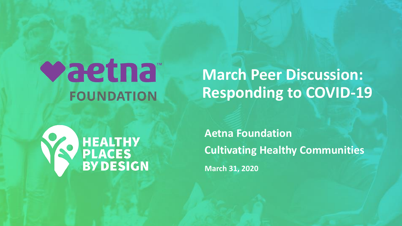## vaetna<sup>®</sup> **FOUNDATION**

**March Peer Discussion: Responding to COVID-19**



**Aetna Foundation Cultivating Healthy Communities March 31, 2020**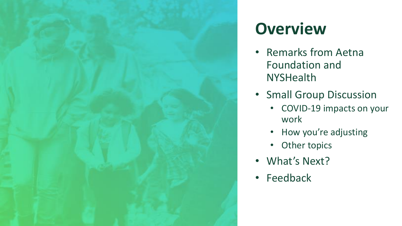

#### **Overview**

- Remarks from Aetna Foundation and **NYSHealth**
- Small Group Discussion
	- COVID-19 impacts on your work
	- How you're adjusting
	- Other topics
- What's Next?
- Feedback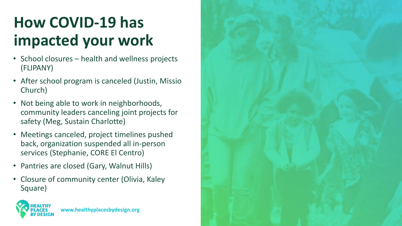#### **How COVID-19 has impacted your work**

- School closures health and wellness projects (FLIPANY)
- After school program is canceled (Justin, Missio Church)
- Not being able to work in neighborhoods, community leaders canceling joint projects for safety (Meg, Sustain Charlotte)
- Meetings canceled, project timelines pushed back, organization suspended all in-person services (Stephanie, CORE El Centro)
- Pantries are closed (Gary, Walnut Hills)
- Closure of community center (Olivia, Kaley Square)



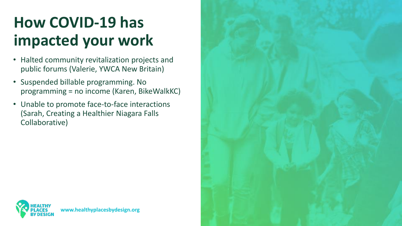#### **How COVID-19 has impacted your work**

- Halted community revitalization projects and public forums (Valerie, YWCA New Britain)
- Suspended billable programming. No programming = no income (Karen, BikeWalkKC)
- Unable to promote face-to-face interactions (Sarah, Creating a Healthier Niagara Falls Collaborative)

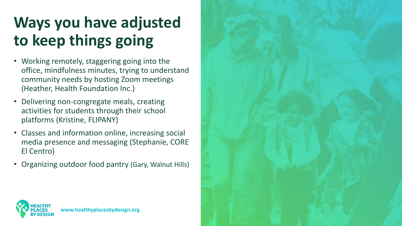#### **Ways you have adjusted to keep things going**

- Working remotely, staggering going into the office, mindfulness minutes, trying to understand community needs by hosting Zoom meetings (Heather, Health Foundation Inc.)
- Delivering non-congregate meals, creating activities for students through their school platforms (Kristine, FLIPANY)
- Classes and information online, increasing social media presence and messaging (Stephanie, CORE El Centro)
- Organizing outdoor food pantry (Gary, Walnut Hills)

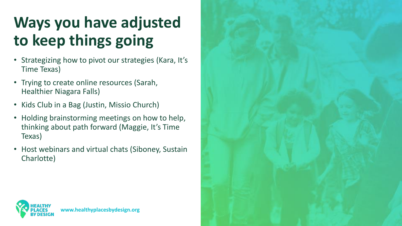#### **Ways you have adjusted to keep things going**

- Strategizing how to pivot our strategies (Kara, It's Time Texas)
- Trying to create online resources (Sarah, Healthier Niagara Falls)
- Kids Club in a Bag (Justin, Missio Church)
- Holding brainstorming meetings on how to help, thinking about path forward (Maggie, It's Time Texas)
- Host webinars and virtual chats (Siboney, Sustain Charlotte)



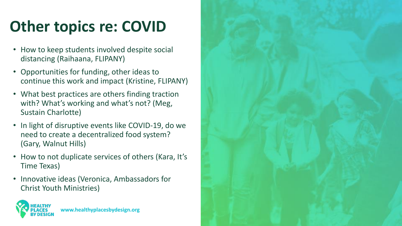### **Other topics re: COVID**

- How to keep students involved despite social distancing (Raihaana, FLIPANY)
- Opportunities for funding, other ideas to continue this work and impact (Kristine, FLIPANY)
- What best practices are others finding traction with? What's working and what's not? (Meg, Sustain Charlotte)
- In light of disruptive events like COVID-19, do we need to create a decentralized food system? (Gary, Walnut Hills)
- How to not duplicate services of others (Kara, It's Time Texas)
- Innovative ideas (Veronica, Ambassadors for Christ Youth Ministries)



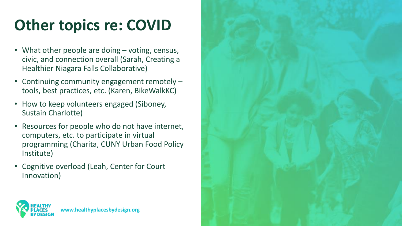#### **Other topics re: COVID**

- What other people are doing voting, census, civic, and connection overall (Sarah, Creating a Healthier Niagara Falls Collaborative)
- Continuing community engagement remotely tools, best practices, etc. (Karen, BikeWalkKC)
- How to keep volunteers engaged (Siboney, Sustain Charlotte)
- Resources for people who do not have internet, computers, etc. to participate in virtual programming (Charita, CUNY Urban Food Policy Institute)
- Cognitive overload (Leah, Center for Court Innovation)



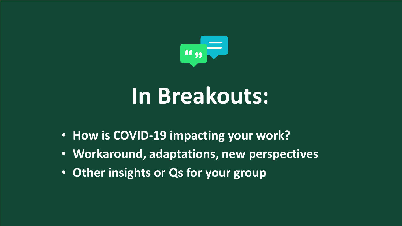

# **In Breakouts:**

- **How is COVID-19 impacting your work?**
- **Workaround, adaptations, new perspectives**
- **Other insights or Qs for your group**